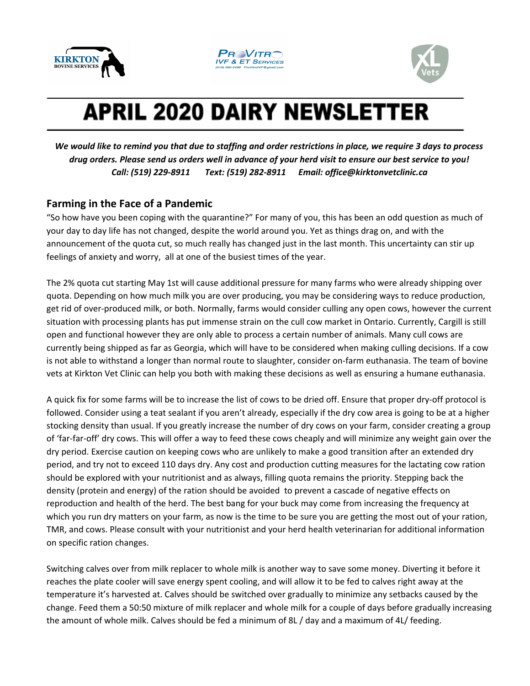





## **APRIL 2020 DAIRY NEWSLETTER**

We would like to remind you that due to staffing and order restrictions in place, we require 3 days to process drug orders. Please send us orders well in advance of your herd visit to ensure our best service to you! *Call: (519) 229-8911 Text: (519) 282-8911 Email: office@kirktonvetclinic.ca*

## **Farming in the Face of a Pandemic**

"So how have you been coping with the quarantine?" For many of you, this has been an odd question as much of your day to day life has not changed, despite the world around you. Yet as things drag on, and with the announcement of the quota cut, so much really has changed just in the last month. This uncertainty can stir up feelings of anxiety and worry, all at one of the busiest times of the year.

The 2% quota cut starting May 1st will cause additional pressure for many farms who were already shipping over quota. Depending on how much milk you are over producing, you may be considering ways to reduce production, get rid of over-produced milk, or both. Normally, farms would consider culling any open cows, however the current situation with processing plants has put immense strain on the cull cow market in Ontario. Currently, Cargill is still open and functional however they are only able to process a certain number of animals. Many cull cows are currently being shipped as far as Georgia, which will have to be considered when making culling decisions. If a cow is not able to withstand a longer than normal route to slaughter, consider on-farm euthanasia. The team of bovine vets at Kirkton Vet Clinic can help you both with making these decisions as well as ensuring a humane euthanasia.

A quick fix for some farms will be to increase the list of cows to be dried off. Ensure that proper dry-off protocol is followed. Consider using a teat sealant if you aren't already, especially if the dry cow area is going to be at a higher stocking density than usual. If you greatly increase the number of dry cows on your farm, consider creating a group of 'far-far-off' dry cows. This will offer a way to feed these cows cheaply and will minimize any weight gain over the dry period. Exercise caution on keeping cows who are unlikely to make a good transition after an extended dry period, and try not to exceed 110 days dry. Any cost and production cutting measures for the lactating cow ration should be explored with your nutritionist and as always, filling quota remains the priority. Stepping back the density (protein and energy) of the ration should be avoided to prevent a cascade of negative effects on reproduction and health of the herd. The best bang for your buck may come from increasing the frequency at which you run dry matters on your farm, as now is the time to be sure you are getting the most out of your ration, TMR, and cows. Please consult with your nutritionist and your herd health veterinarian for additional information on specific ration changes.

Switching calves over from milk replacer to whole milk is another way to save some money. Diverting it before it reaches the plate cooler will save energy spent cooling, and will allow it to be fed to calves right away at the temperature it's harvested at. Calves should be switched over gradually to minimize any setbacks caused by the change. Feed them a 50:50 mixture of milk replacer and whole milk for a couple of days before gradually increasing the amount of whole milk. Calves should be fed a minimum of 8L / day and a maximum of 4L/ feeding.